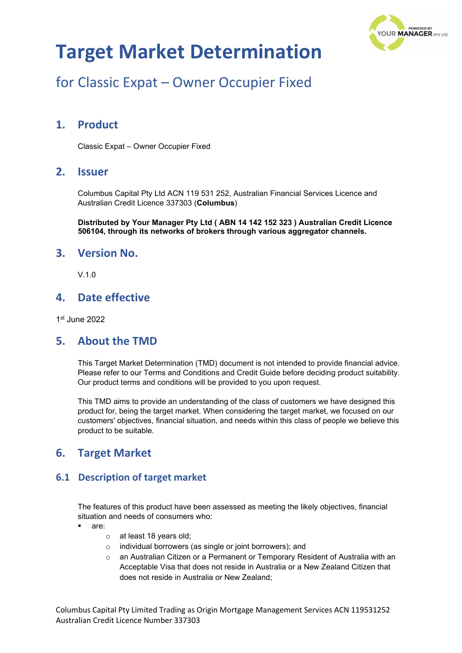

## for Classic Expat – Owner Occupier Fixed

### **1. Product**

Classic Expat – Owner Occupier Fixed

### **2. Issuer**

Columbus Capital Pty Ltd ACN 119 531 252, Australian Financial Services Licence and Australian Credit Licence 337303 (**Columbus**)

**Distributed by Your Manager Pty Ltd ( ABN 14 142 152 323 ) Australian Credit Licence 506104, through its networks of brokers through various aggregator channels.**

### **3. Version No.**

 $V$  1.0

### **4. Date effective**

1st June 2022

#### **5. About the TMD**

This Target Market Determination (TMD) document is not intended to provide financial advice. Please refer to our Terms and Conditions and Credit Guide before deciding product suitability. Our product terms and conditions will be provided to you upon request.

This TMD aims to provide an understanding of the class of customers we have designed this product for, being the target market. When considering the target market, we focused on our customers' objectives, financial situation, and needs within this class of people we believe this product to be suitable.

### **6. Target Market**

#### **6.1 Description of target market**

The features of this product have been assessed as meeting the likely objectives, financial situation and needs of consumers who:

- are:
	- o at least 18 years old;
	- o individual borrowers (as single or joint borrowers); and
	- $\circ$  an Australian Citizen or a Permanent or Temporary Resident of Australia with an Acceptable Visa that does not reside in Australia or a New Zealand Citizen that does not reside in Australia or New Zealand;

Columbus Capital Pty Limited Trading as Origin Mortgage Management Services ACN 119531252 Australian Credit Licence Number 337303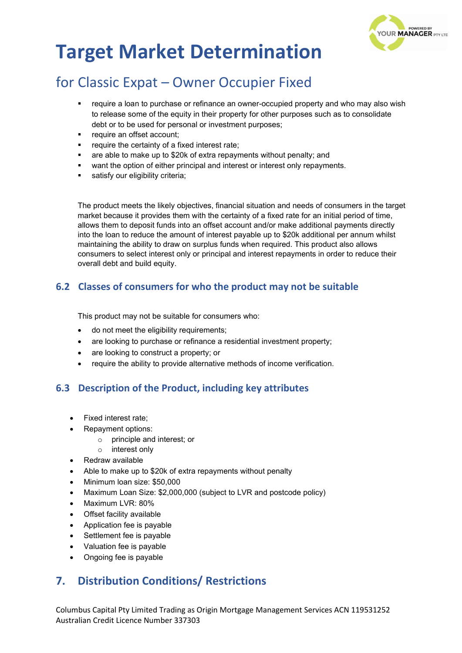

## for Classic Expat – Owner Occupier Fixed

- require a loan to purchase or refinance an owner-occupied property and who may also wish to release some of the equity in their property for other purposes such as to consolidate debt or to be used for personal or investment purposes;
- require an offset account;
- require the certainty of a fixed interest rate;
- are able to make up to \$20k of extra repayments without penalty; and
- want the option of either principal and interest or interest only repayments.
- satisfy our eligibility criteria;

The product meets the likely objectives, financial situation and needs of consumers in the target market because it provides them with the certainty of a fixed rate for an initial period of time, allows them to deposit funds into an offset account and/or make additional payments directly into the loan to reduce the amount of interest payable up to \$20k additional per annum whilst maintaining the ability to draw on surplus funds when required. This product also allows consumers to select interest only or principal and interest repayments in order to reduce their overall debt and build equity.

### **6.2 Classes of consumers for who the product may not be suitable**

This product may not be suitable for consumers who:

- do not meet the eligibility requirements;
- are looking to purchase or refinance a residential investment property;
- are looking to construct a property; or
- require the ability to provide alternative methods of income verification.

### **6.3 Description of the Product, including key attributes**

- Fixed interest rate;
- Repayment options:
	- principle and interest; or
	- o interest only
- Redraw available
- Able to make up to \$20k of extra repayments without penalty
- Minimum loan size: \$50,000
- Maximum Loan Size: \$2,000,000 (subject to LVR and postcode policy)
- Maximum LVR: 80%
- Offset facility available
- Application fee is payable
- Settlement fee is payable
- Valuation fee is payable
- Ongoing fee is payable

### **7. Distribution Conditions/ Restrictions**

Columbus Capital Pty Limited Trading as Origin Mortgage Management Services ACN 119531252 Australian Credit Licence Number 337303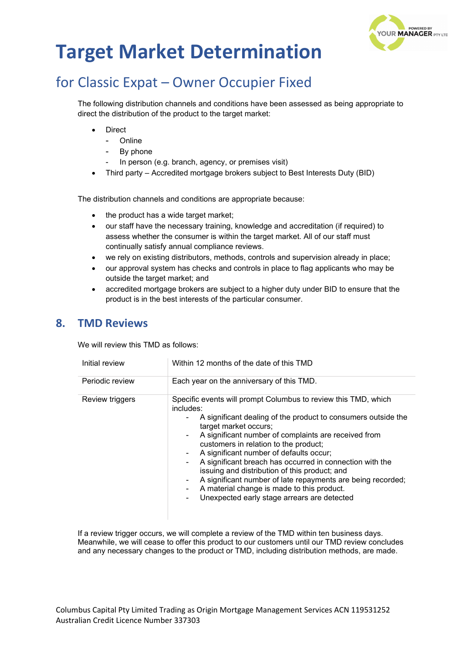

## for Classic Expat – Owner Occupier Fixed

The following distribution channels and conditions have been assessed as being appropriate to direct the distribution of the product to the target market:

- **Direct** 
	- Online
	- By phone
	- In person (e.g. branch, agency, or premises visit)
- Third party Accredited mortgage brokers subject to Best Interests Duty (BID)

The distribution channels and conditions are appropriate because:

- the product has a wide target market;
- our staff have the necessary training, knowledge and accreditation (if required) to assess whether the consumer is within the target market. All of our staff must continually satisfy annual compliance reviews.
- we rely on existing distributors, methods, controls and supervision already in place;
- our approval system has checks and controls in place to flag applicants who may be outside the target market; and
- accredited mortgage brokers are subject to a higher duty under BID to ensure that the product is in the best interests of the particular consumer.

### **8. TMD Reviews**

We will review this TMD as follows:

| Initial review  | Within 12 months of the date of this TMD                                                                                                                                                                                                                                                                                                                                                                                                                                                                                                                                                                    |  |
|-----------------|-------------------------------------------------------------------------------------------------------------------------------------------------------------------------------------------------------------------------------------------------------------------------------------------------------------------------------------------------------------------------------------------------------------------------------------------------------------------------------------------------------------------------------------------------------------------------------------------------------------|--|
| Periodic review | Each year on the anniversary of this TMD.                                                                                                                                                                                                                                                                                                                                                                                                                                                                                                                                                                   |  |
| Review triggers | Specific events will prompt Columbus to review this TMD, which<br>includes:<br>A significant dealing of the product to consumers outside the<br>target market occurs;<br>A significant number of complaints are received from<br>customers in relation to the product;<br>A significant number of defaults occur;<br>۰.<br>A significant breach has occurred in connection with the<br>۰<br>issuing and distribution of this product; and<br>A significant number of late repayments are being recorded;<br>۰.<br>A material change is made to this product.<br>Unexpected early stage arrears are detected |  |

If a review trigger occurs, we will complete a review of the TMD within ten business days. Meanwhile, we will cease to offer this product to our customers until our TMD review concludes and any necessary changes to the product or TMD, including distribution methods, are made.